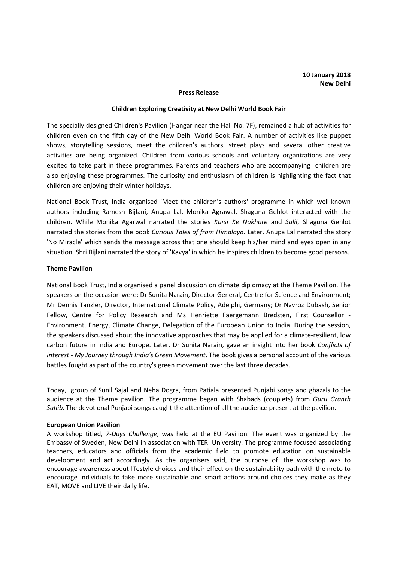#### **Press Release**

#### **Children Exploring Creativity at New Delhi World Book Fair**

The specially designed Children's Pavilion (Hangar near the Hall No. 7F), remained a hub of activities for children even on the fifth day of the New Delhi World Book Fair. A number of activities like puppet shows, storytelling sessions, meet the children's authors, street plays and several other creative activities are being organized. Children from various schools and voluntary organizations are very excited to take part in these programmes. Parents and teachers who are accompanying children are also enjoying these programmes. The curiosity and enthusiasm of children is highlighting the fact that children are enjoying their winter holidays.

National Book Trust, India organised 'Meet the children's authors' programme in which well-known authors including Ramesh Bijlani, Anupa Lal, Monika Agrawal, Shaguna Gehlot interacted with the children. While Monika Agarwal narrated the stories *Kursi Ke Nakhare* and *Salil*, Shaguna Gehlot narrated the stories from the book *Curious Tales of from Himalaya*. Later, Anupa Lal narrated the story 'No Miracle' which sends the message across that one should keep his/her mind and eyes open in any situation. Shri Bijlani narrated the story of 'Kavya' in which he inspires children to become good persons.

### **Theme Pavilion**

National Book Trust, India organised a panel discussion on climate diplomacy at the Theme Pavilion. The speakers on the occasion were: Dr Sunita Narain, Director General, Centre for Science and Environment; Mr Dennis Tanzler, Director, International Climate Policy, Adelphi, Germany; Dr Navroz Dubash, Senior Fellow, Centre for Policy Research and Ms Henriette Faergemann Bredsten, First Counsellor - Environment, Energy, Climate Change, Delegation of the European Union to India. During the session, the speakers discussed about the innovative approaches that may be applied for a climate-resilient, low carbon future in India and Europe. Later, Dr Sunita Narain, gave an insight into her book *Conflicts of Interest - My Journey through India's Green Movement*. The book gives a personal account of the various battles fought as part of the country's green movement over the last three decades.

Today, group of Sunil Sajal and Neha Dogra, from Patiala presented Punjabi songs and ghazals to the audience at the Theme pavilion. The programme began with Shabads (couplets) from *Guru Granth Sahib*. The devotional Punjabi songs caught the attention of all the audience present at the pavilion.

### **European Union Pavilion**

A workshop titled, *7-Days Challenge*, was held at the EU Pavilion. The event was organized by the Embassy of Sweden, New Delhi in association with TERI University. The programme focused associating teachers, educators and officials from the academic field to promote education on sustainable development and act accordingly. As the organisers said, the purpose of the workshop was to encourage awareness about lifestyle choices and their effect on the sustainability path with the moto to encourage individuals to take more sustainable and smart actions around choices they make as they EAT, MOVE and LIVE their daily life.